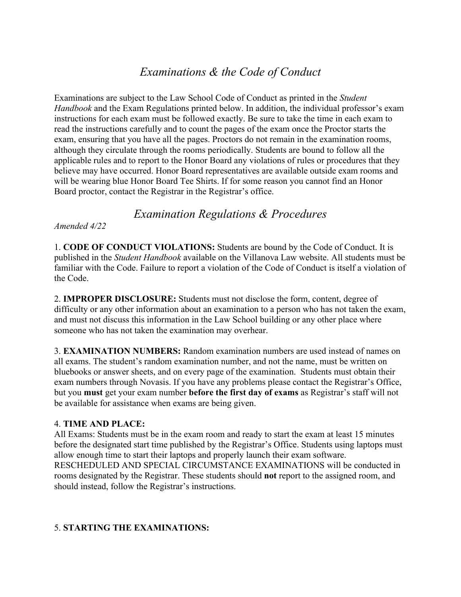# *Examinations & the Code of Conduct*

Examinations are subject to the Law School Code of Conduct as printed in the *Student Handbook* and the Exam Regulations printed below. In addition, the individual professor's exam instructions for each exam must be followed exactly. Be sure to take the time in each exam to read the instructions carefully and to count the pages of the exam once the Proctor starts the exam, ensuring that you have all the pages. Proctors do not remain in the examination rooms, although they circulate through the rooms periodically. Students are bound to follow all the applicable rules and to report to the Honor Board any violations of rules or procedures that they believe may have occurred. Honor Board representatives are available outside exam rooms and will be wearing blue Honor Board Tee Shirts. If for some reason you cannot find an Honor Board proctor, contact the Registrar in the Registrar's office.

## *Examination Regulations & Procedures*

*Amended 4/22* 

1. **CODE OF CONDUCT VIOLATIONS:** Students are bound by the Code of Conduct. It is published in the *Student Handbook* available on the Villanova Law website. All students must be familiar with the Code. Failure to report a violation of the Code of Conduct is itself a violation of the Code.

2. **IMPROPER DISCLOSURE:** Students must not disclose the form, content, degree of difficulty or any other information about an examination to a person who has not taken the exam, and must not discuss this information in the Law School building or any other place where someone who has not taken the examination may overhear.

3. **EXAMINATION NUMBERS:** Random examination numbers are used instead of names on all exams. The student's random examination number, and not the name, must be written on bluebooks or answer sheets, and on every page of the examination. Students must obtain their exam numbers through Novasis. If you have any problems please contact the Registrar's Office, but you **must** get your exam number **before the first day of exams** as Registrar's staff will not be available for assistance when exams are being given.

#### 4. **TIME AND PLACE:**

All Exams: Students must be in the exam room and ready to start the exam at least 15 minutes before the designated start time published by the Registrar's Office. Students using laptops must allow enough time to start their laptops and properly launch their exam software. RESCHEDULED AND SPECIAL CIRCUMSTANCE EXAMINATIONS will be conducted in rooms designated by the Registrar. These students should **not** report to the assigned room, and should instead, follow the Registrar's instructions.

#### 5. **STARTING THE EXAMINATIONS:**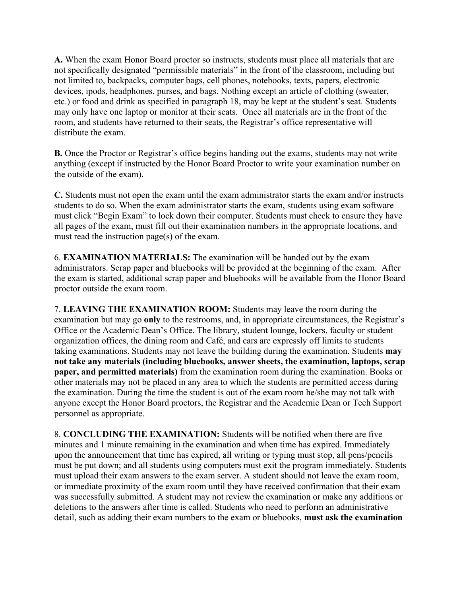**A.** When the exam Honor Board proctor so instructs, students must place all materials that are not specifically designated "permissible materials" in the front of the classroom, including but not limited to, backpacks, computer bags, cell phones, notebooks, texts, papers, electronic devices, ipods, headphones, purses, and bags. Nothing except an article of clothing (sweater, etc.) or food and drink as specified in paragraph 18, may be kept at the student's seat. Students may only have one laptop or monitor at their seats. Once all materials are in the front of the room, and students have returned to their seats, the Registrar's office representative will distribute the exam.

**B.** Once the Proctor or Registrar's office begins handing out the exams, students may not write anything (except if instructed by the Honor Board Proctor to write your examination number on the outside of the exam).

**C.** Students must not open the exam until the exam administrator starts the exam and/or instructs students to do so. When the exam administrator starts the exam, students using exam software must click "Begin Exam" to lock down their computer. Students must check to ensure they have all pages of the exam, must fill out their examination numbers in the appropriate locations, and must read the instruction page(s) of the exam.

6. **EXAMINATION MATERIALS:** The examination will be handed out by the exam administrators. Scrap paper and bluebooks will be provided at the beginning of the exam. After the exam is started, additional scrap paper and bluebooks will be available from the Honor Board proctor outside the exam room.

7. **LEAVING THE EXAMINATION ROOM:** Students may leave the room during the examination but may go **only** to the restrooms, and, in appropriate circumstances, the Registrar's Office or the Academic Dean's Office. The library, student lounge, lockers, faculty or student organization offices, the dining room and Café, and cars are expressly off limits to students taking examinations. Students may not leave the building during the examination. Students **may not take any materials (including bluebooks, answer sheets, the examination, laptops, scrap paper, and permitted materials)** from the examination room during the examination. Books or other materials may not be placed in any area to which the students are permitted access during the examination. During the time the student is out of the exam room he/she may not talk with anyone except the Honor Board proctors, the Registrar and the Academic Dean or Tech Support personnel as appropriate.

8. **CONCLUDING THE EXAMINATION:** Students will be notified when there are five minutes and 1 minute remaining in the examination and when time has expired. Immediately upon the announcement that time has expired, all writing or typing must stop, all pens/pencils must be put down; and all students using computers must exit the program immediately. Students must upload their exam answers to the exam server. A student should not leave the exam room, or immediate proximity of the exam room until they have received confirmation that their exam was successfully submitted. A student may not review the examination or make any additions or deletions to the answers after time is called. Students who need to perform an administrative detail, such as adding their exam numbers to the exam or bluebooks, **must ask the examination**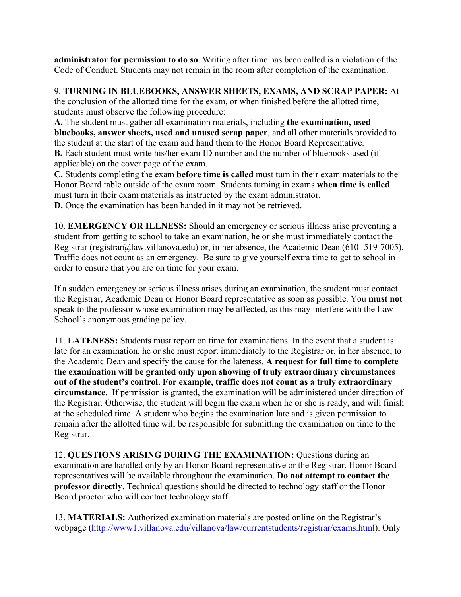**administrator for permission to do so**. Writing after time has been called is a violation of the Code of Conduct. Students may not remain in the room after completion of the examination.

9. **TURNING IN BLUEBOOKS, ANSWER SHEETS, EXAMS, AND SCRAP PAPER:** At

the conclusion of the allotted time for the exam, or when finished before the allotted time, students must observe the following procedure:

**A.** The student must gather all examination materials, including **the examination, used bluebooks, answer sheets, used and unused scrap paper**, and all other materials provided to the student at the start of the exam and hand them to the Honor Board Representative. **B.** Each student must write his/her exam ID number and the number of bluebooks used (if

applicable) on the cover page of the exam.

**C.** Students completing the exam **before time is called** must turn in their exam materials to the Honor Board table outside of the exam room. Students turning in exams **when time is called**  must turn in their exam materials as instructed by the exam administrator. **D.** Once the examination has been handed in it may not be retrieved.

10. **EMERGENCY OR ILLNESS:** Should an emergency or serious illness arise preventing a student from getting to school to take an examination, he or she must immediately contact the Registrar (registrar@law.villanova.edu) or, in her absence, the Academic Dean (610 -519-7005). Traffic does not count as an emergency. Be sure to give yourself extra time to get to school in order to ensure that you are on time for your exam.

If a sudden emergency or serious illness arises during an examination, the student must contact the Registrar, Academic Dean or Honor Board representative as soon as possible. You **must not**  speak to the professor whose examination may be affected, as this may interfere with the Law School's anonymous grading policy.

11. **LATENESS:** Students must report on time for examinations. In the event that a student is late for an examination, he or she must report immediately to the Registrar or, in her absence, to the Academic Dean and specify the cause for the lateness. **A request for full time to complete the examination will be granted only upon showing of truly extraordinary circumstances out of the student's control. For example, traffic does not count as a truly extraordinary circumstance.** If permission is granted, the examination will be administered under direction of the Registrar. Otherwise, the student will begin the exam when he or she is ready, and will finish at the scheduled time. A student who begins the examination late and is given permission to remain after the allotted time will be responsible for submitting the examination on time to the Registrar.

12. **QUESTIONS ARISING DURING THE EXAMINATION:** Questions during an examination are handled only by an Honor Board representative or the Registrar. Honor Board representatives will be available throughout the examination. **Do not attempt to contact the professor directly**. Technical questions should be directed to technology staff or the Honor Board proctor who will contact technology staff.

13. **MATERIALS:** Authorized examination materials are posted online on the Registrar's webpage (http://www1.villanova.edu/villanova/law/currentstudents/registrar/exams.html). Only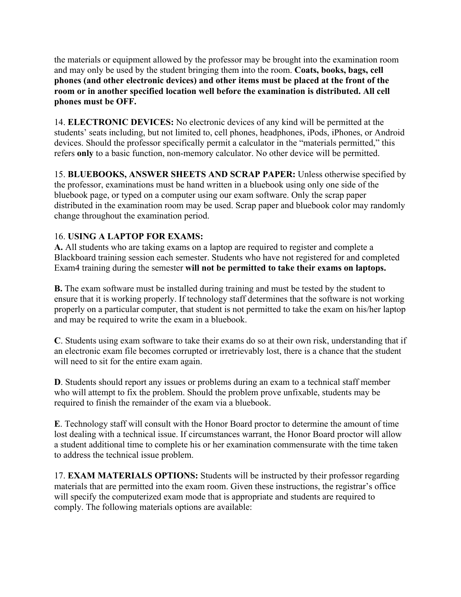the materials or equipment allowed by the professor may be brought into the examination room and may only be used by the student bringing them into the room. **Coats, books, bags, cell phones (and other electronic devices) and other items must be placed at the front of the room or in another specified location well before the examination is distributed. All cell phones must be OFF.** 

14. **ELECTRONIC DEVICES:** No electronic devices of any kind will be permitted at the students' seats including, but not limited to, cell phones, headphones, iPods, iPhones, or Android devices. Should the professor specifically permit a calculator in the "materials permitted," this refers **only** to a basic function, non-memory calculator. No other device will be permitted.

15. **BLUEBOOKS, ANSWER SHEETS AND SCRAP PAPER:** Unless otherwise specified by the professor, examinations must be hand written in a bluebook using only one side of the bluebook page, or typed on a computer using our exam software. Only the scrap paper distributed in the examination room may be used. Scrap paper and bluebook color may randomly change throughout the examination period.

### 16. **USING A LAPTOP FOR EXAMS:**

**A.** All students who are taking exams on a laptop are required to register and complete a Blackboard training session each semester. Students who have not registered for and completed Exam4 training during the semester **will not be permitted to take their exams on laptops.** 

**B.** The exam software must be installed during training and must be tested by the student to ensure that it is working properly. If technology staff determines that the software is not working properly on a particular computer, that student is not permitted to take the exam on his/her laptop and may be required to write the exam in a bluebook.

**C**. Students using exam software to take their exams do so at their own risk, understanding that if an electronic exam file becomes corrupted or irretrievably lost, there is a chance that the student will need to sit for the entire exam again.

**D**. Students should report any issues or problems during an exam to a technical staff member who will attempt to fix the problem. Should the problem prove unfixable, students may be required to finish the remainder of the exam via a bluebook.

**E**. Technology staff will consult with the Honor Board proctor to determine the amount of time lost dealing with a technical issue. If circumstances warrant, the Honor Board proctor will allow a student additional time to complete his or her examination commensurate with the time taken to address the technical issue problem.

17. **EXAM MATERIALS OPTIONS:** Students will be instructed by their professor regarding materials that are permitted into the exam room. Given these instructions, the registrar's office will specify the computerized exam mode that is appropriate and students are required to comply. The following materials options are available: